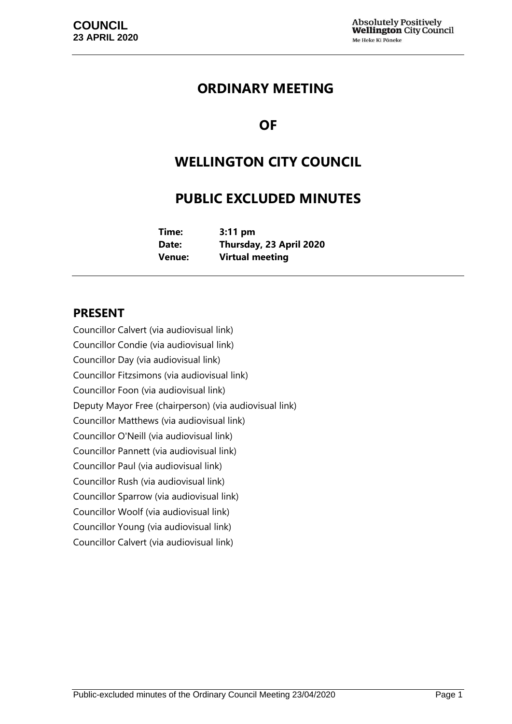### **ORDINARY MEETING**

## **OF**

## **WELLINGTON CITY COUNCIL**

## **PUBLIC EXCLUDED MINUTES**

| Time:  | $3:11$ pm               |
|--------|-------------------------|
| Date:  | Thursday, 23 April 2020 |
| Venue: | <b>Virtual meeting</b>  |

### **PRESENT**

Councillor Calvert (via audiovisual link) Councillor Condie (via audiovisual link) Councillor Day (via audiovisual link) Councillor Fitzsimons (via audiovisual link) Councillor Foon (via audiovisual link) Deputy Mayor Free (chairperson) (via audiovisual link) Councillor Matthews (via audiovisual link) Councillor O'Neill (via audiovisual link) Councillor Pannett (via audiovisual link) Councillor Paul (via audiovisual link) Councillor Rush (via audiovisual link) Councillor Sparrow (via audiovisual link) Councillor Woolf (via audiovisual link) Councillor Young (via audiovisual link) Councillor Calvert (via audiovisual link)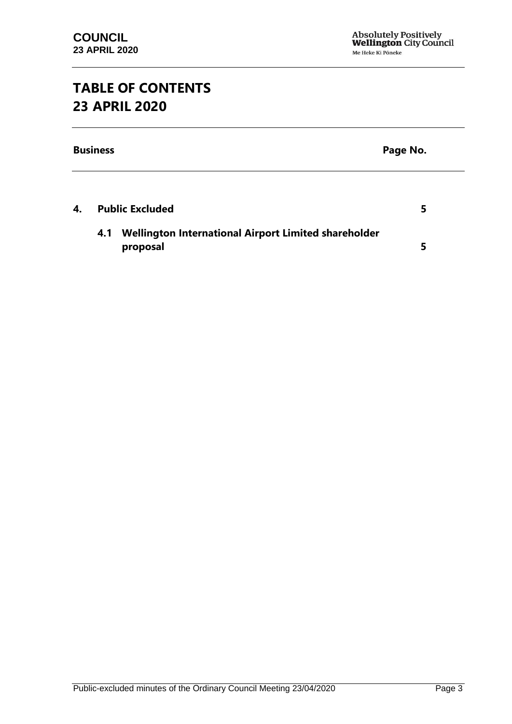# **TABLE OF CONTENTS 23 APRIL 2020**

|    | <b>Business</b><br>Page No.                                             |   |
|----|-------------------------------------------------------------------------|---|
| 4. | <b>Public Excluded</b>                                                  | 5 |
|    | Wellington International Airport Limited shareholder<br>4.1<br>proposal | 5 |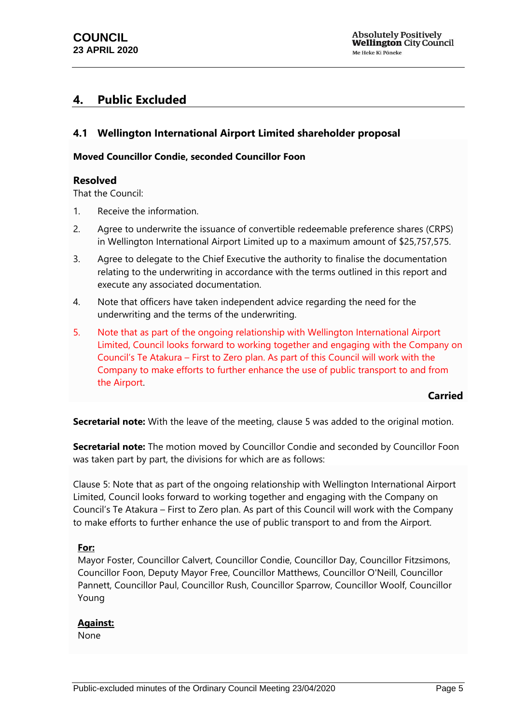### <span id="page-4-0"></span>**4. Public Excluded**

#### <span id="page-4-1"></span>**4.1 Wellington International Airport Limited shareholder proposal**

#### **Moved Councillor Condie, seconded Councillor Foon**

#### **Resolved**

That the Council:

- 1. Receive the information.
- 2. Agree to underwrite the issuance of convertible redeemable preference shares (CRPS) in Wellington International Airport Limited up to a maximum amount of \$25,757,575.
- 3. Agree to delegate to the Chief Executive the authority to finalise the documentation relating to the underwriting in accordance with the terms outlined in this report and execute any associated documentation.
- 4. Note that officers have taken independent advice regarding the need for the underwriting and the terms of the underwriting.
- 5. Note that as part of the ongoing relationship with Wellington International Airport Limited, Council looks forward to working together and engaging with the Company on Council's Te Atakura – First to Zero plan. As part of this Council will work with the Company to make efforts to further enhance the use of public transport to and from the Airport.

**Carried**

**Secretarial note:** With the leave of the meeting, clause 5 was added to the original motion.

**Secretarial note:** The motion moved by Councillor Condie and seconded by Councillor Foon was taken part by part, the divisions for which are as follows:

Clause 5: Note that as part of the ongoing relationship with Wellington International Airport Limited, Council looks forward to working together and engaging with the Company on Council's Te Atakura – First to Zero plan. As part of this Council will work with the Company to make efforts to further enhance the use of public transport to and from the Airport.

#### **For:**

Mayor Foster, Councillor Calvert, Councillor Condie, Councillor Day, Councillor Fitzsimons, Councillor Foon, Deputy Mayor Free, Councillor Matthews, Councillor O'Neill, Councillor Pannett, Councillor Paul, Councillor Rush, Councillor Sparrow, Councillor Woolf, Councillor Young

#### **Against:**

None